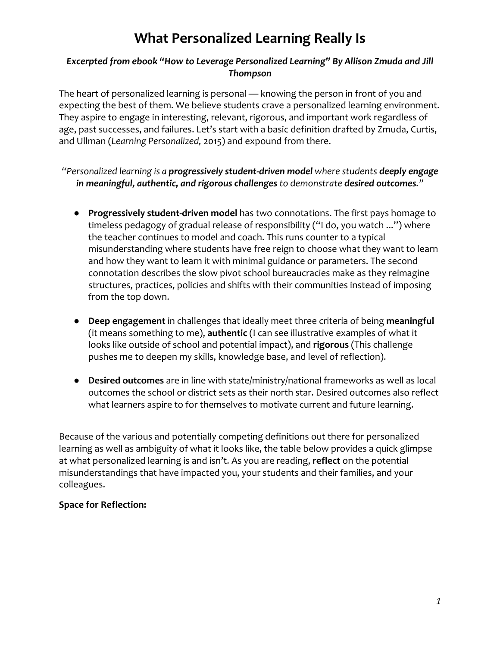# **What Personalized Learning Really Is**

### *Excerpted from ebook "How to Leverage Personalized Learning" By Allison Zmuda and Jill Thompson*

The heart of personalized learning is personal — knowing the person in front of you and expecting the best of them. We believe students crave a personalized learning environment. They aspire to engage in interesting, relevant, rigorous, and important work regardless of age, past successes, and failures. Let's start with a basic definition drafted by Zmuda, Curtis, and Ullman (*Learning Personalized,* 2015) and expound from there.

### *"Personalized learning is a progressively student-driven model where students deeply engage in meaningful, authentic, and rigorous challenges to demonstrate desired outcomes."*

- **Progressively student-driven model** has two connotations. The first pays homage to timeless pedagogy of gradual release of responsibility ("I do, you watch ...") where the teacher continues to model and coach. This runs counter to a typical misunderstanding where students have free reign to choose what they want to learn and how they want to learn it with minimal guidance or parameters. The second connotation describes the slow pivot school bureaucracies make as they reimagine structures, practices, policies and shifts with their communities instead of imposing from the top down.
- **Deep engagement** in challenges that ideally meet three criteria of being **meaningful** (it means something to me), **authentic** (I can see illustrative examples of what it looks like outside of school and potential impact), and **rigorous** (This challenge pushes me to deepen my skills, knowledge base, and level of reflection).
- **Desired outcomes** are in line with state/ministry/national frameworks as well as local outcomes the school or district sets as their north star. Desired outcomes also reflect what learners aspire to for themselves to motivate current and future learning.

Because of the various and potentially competing definitions out there for personalized learning as well as ambiguity of what it looks like, the table below provides a quick glimpse at what personalized learning is and isn't. As you are reading, **reflect** on the potential misunderstandings that have impacted you, your students and their families, and your colleagues.

## **Space for Reflection:**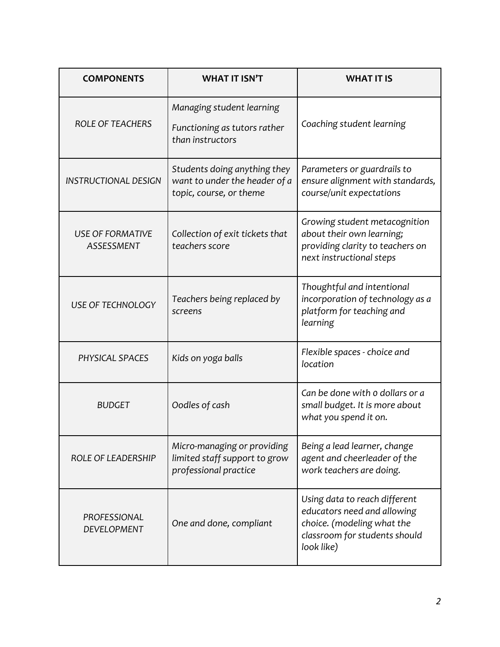| <b>COMPONENTS</b>                            | <b>WHAT IT ISN'T</b>                                                                     | <b>WHAT IT IS</b>                                                                                                                         |
|----------------------------------------------|------------------------------------------------------------------------------------------|-------------------------------------------------------------------------------------------------------------------------------------------|
| <b>ROLE OF TEACHERS</b>                      | Managing student learning<br>Functioning as tutors rather<br>than instructors            | Coaching student learning                                                                                                                 |
| <b>INSTRUCTIONAL DESIGN</b>                  | Students doing anything they<br>want to under the header of a<br>topic, course, or theme | Parameters or guardrails to<br>ensure alignment with standards,<br>course/unit expectations                                               |
| <b>USE OF FORMATIVE</b><br><b>ASSESSMENT</b> | Collection of exit tickets that<br>teachers score                                        | Growing student metacognition<br>about their own learning;<br>providing clarity to teachers on<br>next instructional steps                |
| <b>USE OF TECHNOLOGY</b>                     | Teachers being replaced by<br>screens                                                    | Thoughtful and intentional<br>incorporation of technology as a<br>platform for teaching and<br>learning                                   |
| PHYSICAL SPACES                              | Kids on yoga balls                                                                       | Flexible spaces - choice and<br>location                                                                                                  |
| <b>BUDGET</b>                                | Oodles of cash                                                                           | Can be done with o dollars or a<br>small budget. It is more about<br>what you spend it on.                                                |
| <b>ROLE OF LEADERSHIP</b>                    | Micro-managing or providing<br>limited staff support to grow<br>professional practice    | Being a lead learner, change<br>agent and cheerleader of the<br>work teachers are doing.                                                  |
| PROFESSIONAL<br><b>DEVELOPMENT</b>           | One and done, compliant                                                                  | Using data to reach different<br>educators need and allowing<br>choice. (modeling what the<br>classroom for students should<br>look like) |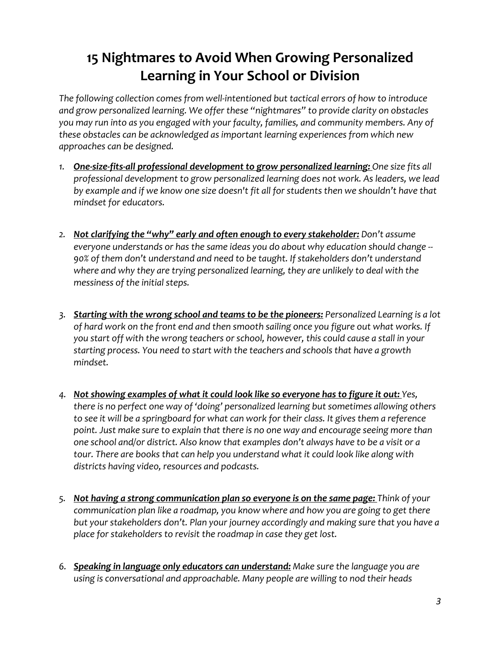## **15 Nightmares to Avoid When Growing Personalized Learning in Your School or Division**

*The following collection comes from well-intentioned but tactical errors of how to introduce and grow personalized learning. We offer these "nightmares" to provide clarity on obstacles you may run into as you engaged with your faculty, families, and community members. Any of these obstacles can be acknowledged as important learning experiences from which new approaches can be designed.* 

- *1. One-size-fits-all professional development to grow personalized learning: One size fits all professional development to grow personalized learning does not work. As leaders, we lead by example and if we know one size doesn't fit all for students then we shouldn't have that mindset for educators.*
- *2. Not clarifying the "why" early and often enough to every stakeholder: Don't assume everyone understands or has the same ideas you do about why education should change -- 90% of them don't understand and need to be taught. If stakeholders don't understand where and why they are trying personalized learning, they are unlikely to deal with the messiness of the initial steps.*
- *3. Starting with the wrong school and teams to be the pioneers: Personalized Learning is a lot of hard work on the front end and then smooth sailing once you figure out what works. If you start off with the wrong teachers or school, however, this could cause a stall in your starting process. You need to start with the teachers and schools that have a growth mindset.*
- *4. Not showing examples of what it could look like so everyone has to figure it out: Yes, there is no perfect one way of 'doing' personalized learning but sometimes allowing others to see it will be a springboard for what can work for their class. It gives them a reference point. Just make sure to explain that there is no one way and encourage seeing more than one school and/or district. Also know that examples don't always have to be a visit or a tour. There are books that can help you understand what it could look like along with districts having video, resources and podcasts.*
- *5. Not having a strong communication plan so everyone is on the same page: Think of your communication plan like a roadmap, you know where and how you are going to get there but your stakeholders don't. Plan your journey accordingly and making sure that you have a place for stakeholders to revisit the roadmap in case they get lost.*
- *6. Speaking in language only educators can understand: Make sure the language you are using is conversational and approachable. Many people are willing to nod their heads*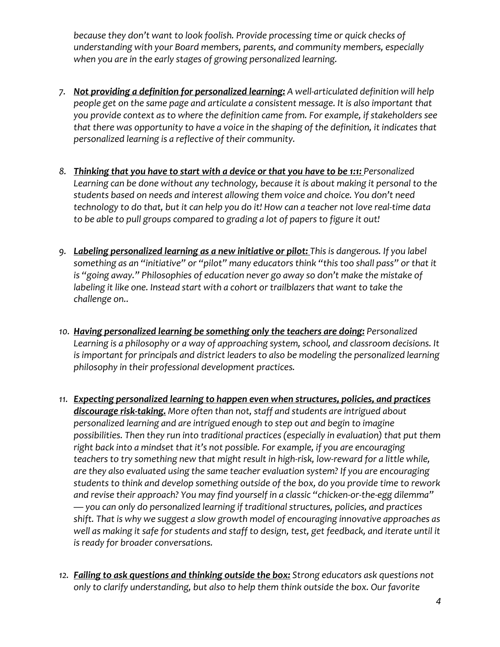*because they don't want to look foolish. Provide processing time or quick checks of understanding with your Board members, parents, and community members, especially when you are in the early stages of growing personalized learning.* 

- *7. Not providing a definition for personalized learning: A well-articulated definition will help people get on the same page and articulate a consistent message. It is also important that you provide context as to where the definition came from. For example, if stakeholders see that there was opportunity to have a voice in the shaping of the definition, it indicates that personalized learning is a reflective of their community.*
- *8. Thinking that you have to start with a device or that you have to be 1:1: Personalized*  Learning can be done without any technology, because it is about making it personal to the *students based on needs and interest allowing them voice and choice. You don't need technology to do that, but it can help you do it! How can a teacher not love real-time data to be able to pull groups compared to grading a lot of papers to figure it out!*
- *9. Labeling personalized learning as a new initiative or pilot: This is dangerous. If you label something as an "initiative" or "pilot" many educators think "this too shall pass" or that it is "going away." Philosophies of education never go away so don't make the mistake of*  labeling it like one. Instead start with a cohort or trailblazers that want to take the *challenge on..*
- *10. Having personalized learning be something only the teachers are doing: Personalized Learning is a philosophy or a way of approaching system, school, and classroom decisions. It is important for principals and district leaders to also be modeling the personalized learning philosophy in their professional development practices.*
- *11. Expecting personalized learning to happen even when structures, policies, and practices discourage risk-taking. More often than not, staff and students are intrigued about personalized learning and are intrigued enough to step out and begin to imagine possibilities. Then they run into traditional practices (especially in evaluation) that put them right back into a mindset that it's not possible. For example, if you are encouraging teachers to try something new that might result in high-risk, low-reward for a little while, are they also evaluated using the same teacher evaluation system? If you are encouraging students to think and develop something outside of the box, do you provide time to rework and revise their approach? You may find yourself in a classic "chicken-or-the-egg dilemma" — you can only do personalized learning if traditional structures, policies, and practices shift. That is why we suggest a slow growth model of encouraging innovative approaches as well as making it safe for students and staff to design, test, get feedback, and iterate until it is ready for broader conversations.*
- *12. Failing to ask questions and thinking outside the box: Strong educators ask questions not only to clarify understanding, but also to help them think outside the box. Our favorite*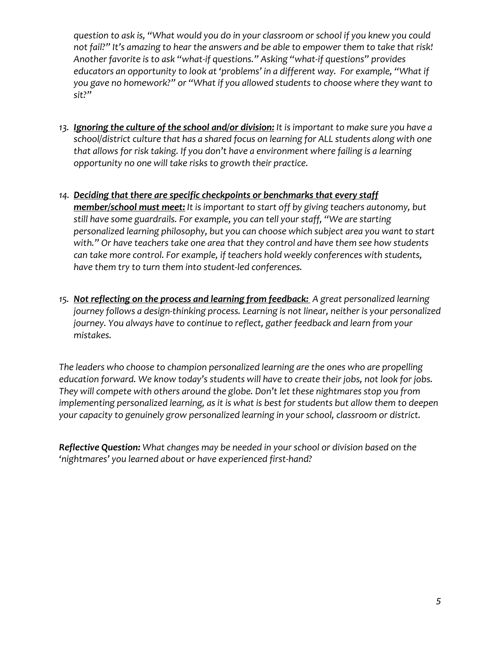*question to ask is, "What would you do in your classroom or school if you knew you could not fail?" It's amazing to hear the answers and be able to empower them to take that risk! Another favorite is to ask "what-if questions." Asking "what-if questions" provides educators an opportunity to look at 'problems' in a different way. For example, "What if you gave no homework?" or "What if you allowed students to choose where they want to sit?"*

- *13. Ignoring the culture of the school and/or division: It is important to make sure you have a school/district culture that has a shared focus on learning for ALL students along with one that allows for risk taking. If you don't have a environment where failing is a learning opportunity no one will take risks to growth their practice.*
- *14. Deciding that there are specific checkpoints or benchmarks that every staff member/school must meet: It is important to start off by giving teachers autonomy, but still have some guardrails. For example, you can tell your staff, "We are starting personalized learning philosophy, but you can choose which subject area you want to start with." Or have teachers take one area that they control and have them see how students can take more control. For example, if teachers hold weekly conferences with students, have them try to turn them into student-led conferences.*
- *15. Not reflecting on the process and learning from feedback: A great personalized learning journey follows a design-thinking process. Learning is not linear, neither is your personalized journey. You always have to continue to reflect, gather feedback and learn from your mistakes.*

*The leaders who choose to champion personalized learning are the ones who are propelling education forward. We know today's students will have to create their jobs, not look for jobs. They will compete with others around the globe. Don't let these nightmares stop you from implementing personalized learning, as it is what is best for students but allow them to deepen your capacity to genuinely grow personalized learning in your school, classroom or district.* 

*Reflective Question: What changes may be needed in your school or division based on the 'nightmares' you learned about or have experienced first-hand?*